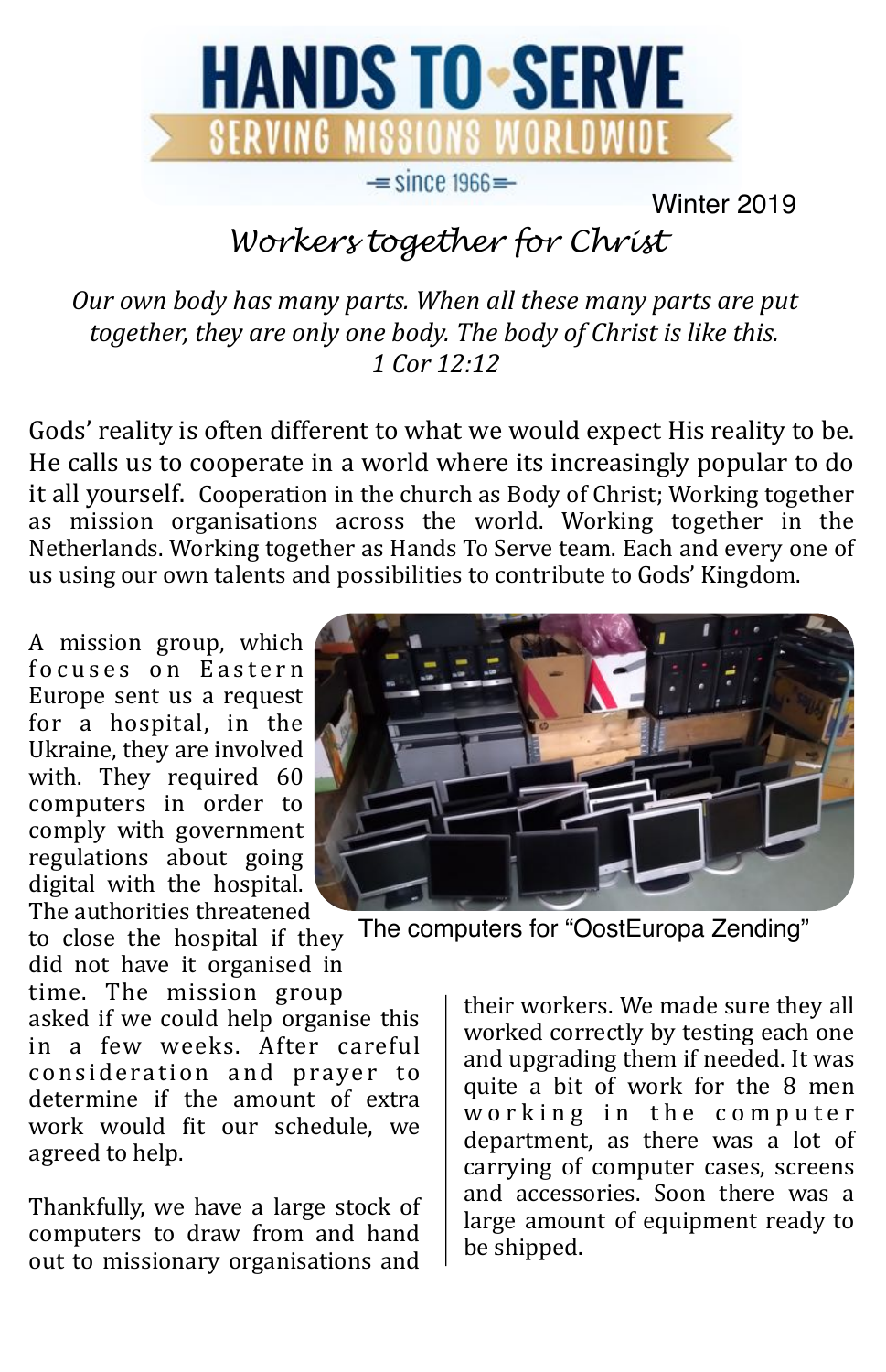

Winter 2019

## *Workers together for Christ*

Our own body has many parts. When all these many parts are put together, they are only one body. The body of Christ is like this. *1 Cor 12:12* 

Gods' reality is often different to what we would expect His reality to be. He calls us to cooperate in a world where its increasingly popular to do it all vourself. Cooperation in the church as Body of Christ; Working together as mission organisations across the world. Working together in the Netherlands. Working together as Hands To Serve team. Each and every one of us using our own talents and possibilities to contribute to Gods' Kingdom.

A mission group, which focuses on Eastern Europe sent us a request for  $\overline{a}$  hospital, in the Ukraine, they are involved with. They required 60 computers in order to comply with government regulations about going digital with the hospital. The authorities threatened

to close the hospital if they did not have it organised in time. The mission group asked if we could help organise this in a few weeks. After careful consideration and prayer to determine if the amount of extra work would fit our schedule, we agreed to help.

Thankfully, we have a large stock of computers to draw from and hand out to missionary organisations and



The computers for "OostEuropa Zending"

their workers. We made sure they all worked correctly by testing each one and upgrading them if needed. It was quite a bit of work for the 8 men working in the computer department, as there was a lot of carrying of computer cases, screens and accessories. Soon there was a large amount of equipment ready to be shipped.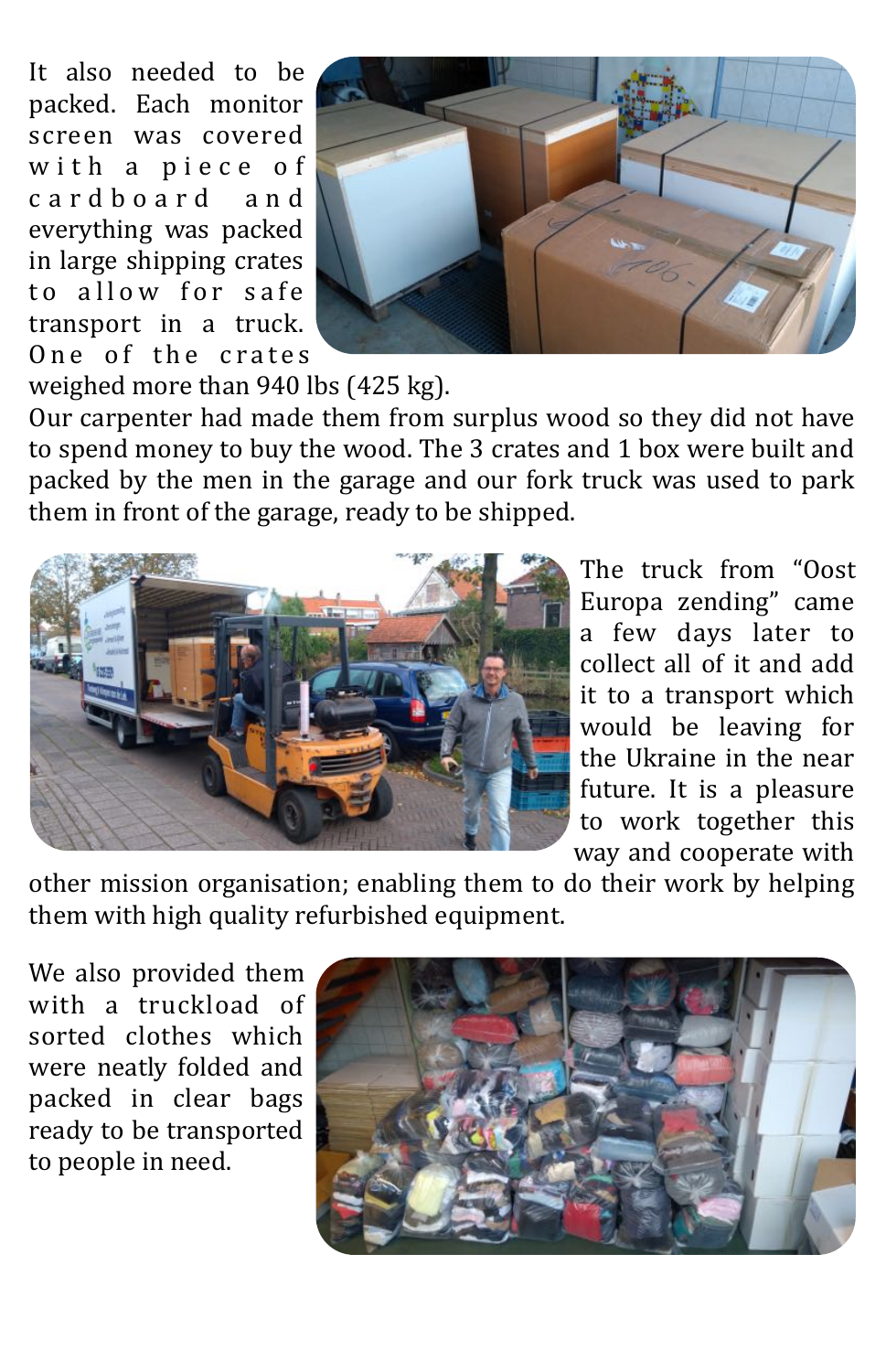It also needed to be packed. Each monitor screen was covered with a piece of c a r d b o a r d a n d everything was packed in large shipping crates to allow for safe transport in a truck. One of the crates



weighed more than  $940$  lbs  $(425 \text{ kg})$ .

Our carpenter had made them from surplus wood so they did not have to spend money to buy the wood. The 3 crates and 1 box were built and packed by the men in the garage and our fork truck was used to park them in front of the garage, ready to be shipped.



The truck from "Oost Europa zending" came a few days later to collect all of it and add it to a transport which would be leaving for the Ukraine in the near future. It is a pleasure to work together this way and cooperate with

other mission organisation; enabling them to do their work by helping them with high quality refurbished equipment.

We also provided them with a truckload of sorted clothes which were neatly folded and packed in clear bags ready to be transported to people in need.

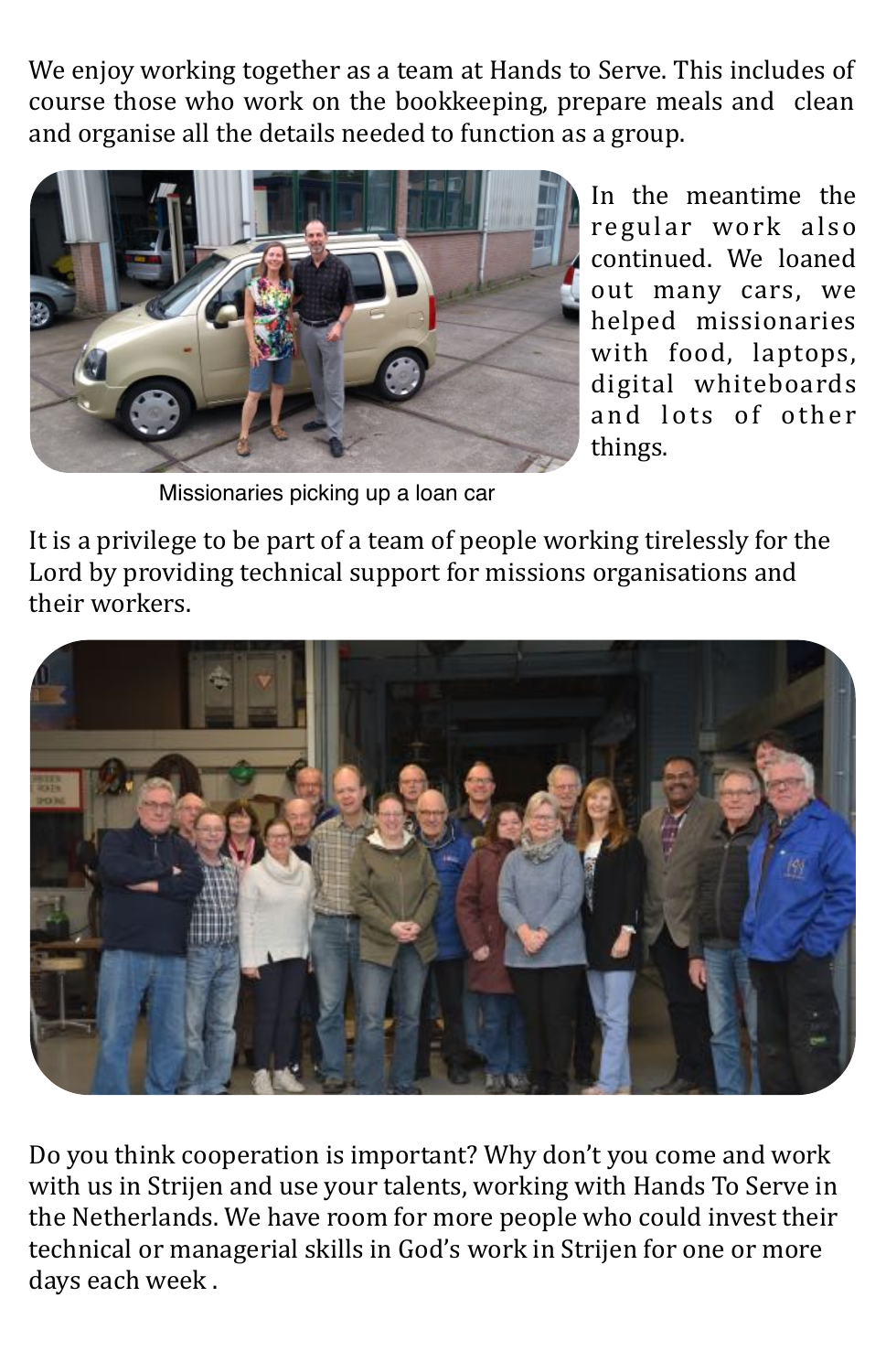We enjoy working together as a team at Hands to Serve. This includes of course those who work on the bookkeeping, prepare meals and clean and organise all the details needed to function as a group.



In the meantime the regular work also continued. We loaned out many cars, we helped missionaries with food, laptops, digital whiteboards and lots of other things. 

Missionaries picking up a loan car

It is a privilege to be part of a team of people working tirelessly for the Lord by providing technical support for missions organisations and their workers.



Do you think cooperation is important? Why don't you come and work with us in Strijen and use your talents, working with Hands To Serve in the Netherlands. We have room for more people who could invest their technical or managerial skills in God's work in Strijen for one or more days each week.